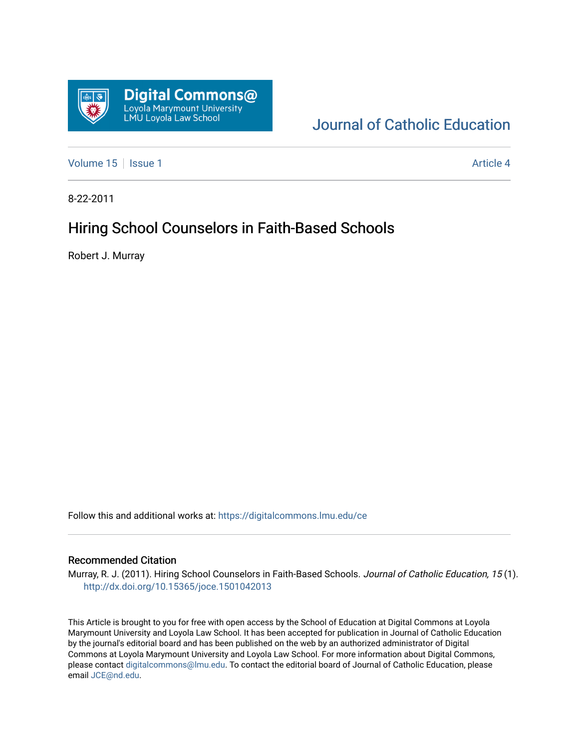

# [Journal of Catholic Education](https://digitalcommons.lmu.edu/ce)

[Volume 15](https://digitalcommons.lmu.edu/ce/vol15) | [Issue 1](https://digitalcommons.lmu.edu/ce/vol15/iss1) Article 4

8-22-2011

## Hiring School Counselors in Faith-Based Schools

Robert J. Murray

Follow this and additional works at: [https://digitalcommons.lmu.edu/ce](https://digitalcommons.lmu.edu/ce?utm_source=digitalcommons.lmu.edu%2Fce%2Fvol15%2Fiss1%2F4&utm_medium=PDF&utm_campaign=PDFCoverPages)

## Recommended Citation

Murray, R. J. (2011). Hiring School Counselors in Faith-Based Schools. Journal of Catholic Education, 15 (1). <http://dx.doi.org/10.15365/joce.1501042013>

This Article is brought to you for free with open access by the School of Education at Digital Commons at Loyola Marymount University and Loyola Law School. It has been accepted for publication in Journal of Catholic Education by the journal's editorial board and has been published on the web by an authorized administrator of Digital Commons at Loyola Marymount University and Loyola Law School. For more information about Digital Commons, please contact [digitalcommons@lmu.edu](mailto:digitalcommons@lmu.edu). To contact the editorial board of Journal of Catholic Education, please email [JCE@nd.edu](mailto:JCE@nd.edu).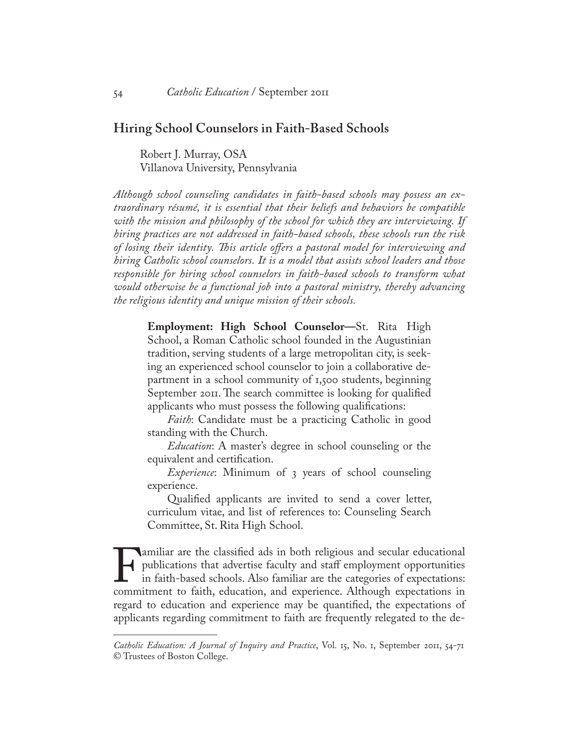## **Hiring School Counselors in Faith-Based Schools**

Robert J. Murray, OSA Villanova University, Pennsylvania

*Although school counseling candidates in faith-based schools may possess an extraordinary résumé, it is essential that their beliefs and behaviors be compatible with the mission and philosophy of the school for which they are interviewing. If hiring practices are not addressed in faith-based schools, these schools run the risk of losing their identity. This article offers a pastoral model for interviewing and hiring Catholic school counselors. It is a model that assists school leaders and those responsible for hiring school counselors in faith-based schools to transform what would otherwise be a functional job into a pastoral ministry, thereby advancing the religious identity and unique mission of their schools.*

**Employment: High School Counselor—**St. Rita High School, a Roman Catholic school founded in the Augustinian tradition, serving students of a large metropolitan city, is seeking an experienced school counselor to join a collaborative department in a school community of 1,500 students, beginning September 2011. The search committee is looking for qualified applicants who must possess the following qualifications:

*Faith*: Candidate must be a practicing Catholic in good standing with the Church.

*Education*: A master's degree in school counseling or the equivalent and certification.

*Experience*: Minimum of 3 years of school counseling experience.

Qualified applicants are invited to send a cover letter, curriculum vitae, and list of references to: Counseling Search Committee, St. Rita High School.

Familiar are the classified ads in both religious and secular educational publications that advertise faculty and staff employment opportunities in faith-based schools. Also familiar are the categories of expectations: com publications that advertise faculty and staff employment opportunities in faith-based schools. Also familiar are the categories of expectations: regard to education and experience may be quantified, the expectations of applicants regarding commitment to faith are frequently relegated to the de-

*Catholic Education: A Journal of Inquiry and Practice*, Vol. 15, No. 1, September 2011, 54-71 © Trustees of Boston College.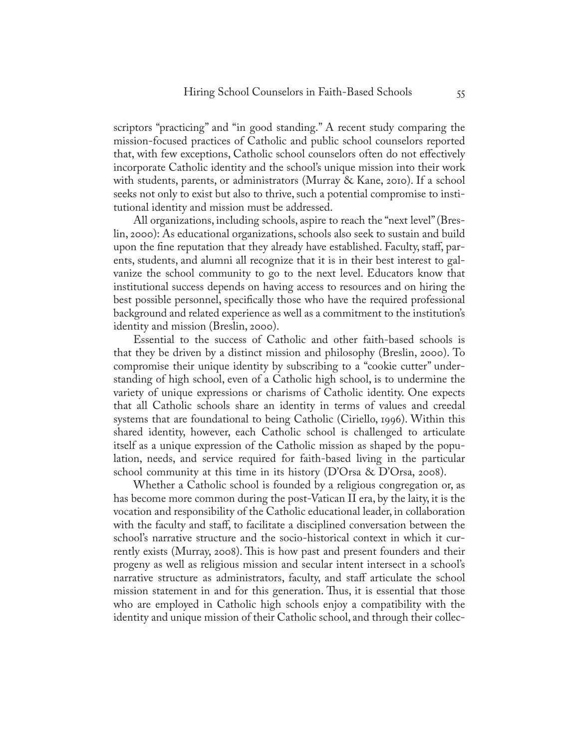scriptors "practicing" and "in good standing." A recent study comparing the mission-focused practices of Catholic and public school counselors reported that, with few exceptions, Catholic school counselors often do not effectively incorporate Catholic identity and the school's unique mission into their work with students, parents, or administrators (Murray & Kane, 2010). If a school seeks not only to exist but also to thrive, such a potential compromise to institutional identity and mission must be addressed.

All organizations, including schools, aspire to reach the "next level" (Breslin, 2000): As educational organizations, schools also seek to sustain and build upon the fine reputation that they already have established. Faculty, staff, parents, students, and alumni all recognize that it is in their best interest to galvanize the school community to go to the next level. Educators know that institutional success depends on having access to resources and on hiring the best possible personnel, specifically those who have the required professional background and related experience as well as a commitment to the institution's identity and mission (Breslin, 2000).

Essential to the success of Catholic and other faith-based schools is that they be driven by a distinct mission and philosophy (Breslin, 2000). To compromise their unique identity by subscribing to a "cookie cutter" understanding of high school, even of a Catholic high school, is to undermine the variety of unique expressions or charisms of Catholic identity. One expects that all Catholic schools share an identity in terms of values and creedal systems that are foundational to being Catholic (Ciriello, 1996). Within this shared identity, however, each Catholic school is challenged to articulate itself as a unique expression of the Catholic mission as shaped by the population, needs, and service required for faith-based living in the particular school community at this time in its history (D'Orsa & D'Orsa, 2008).

Whether a Catholic school is founded by a religious congregation or, as has become more common during the post-Vatican II era, by the laity, it is the vocation and responsibility of the Catholic educational leader, in collaboration with the faculty and staff, to facilitate a disciplined conversation between the school's narrative structure and the socio-historical context in which it currently exists (Murray, 2008). This is how past and present founders and their progeny as well as religious mission and secular intent intersect in a school's narrative structure as administrators, faculty, and staff articulate the school mission statement in and for this generation. Thus, it is essential that those who are employed in Catholic high schools enjoy a compatibility with the identity and unique mission of their Catholic school, and through their collec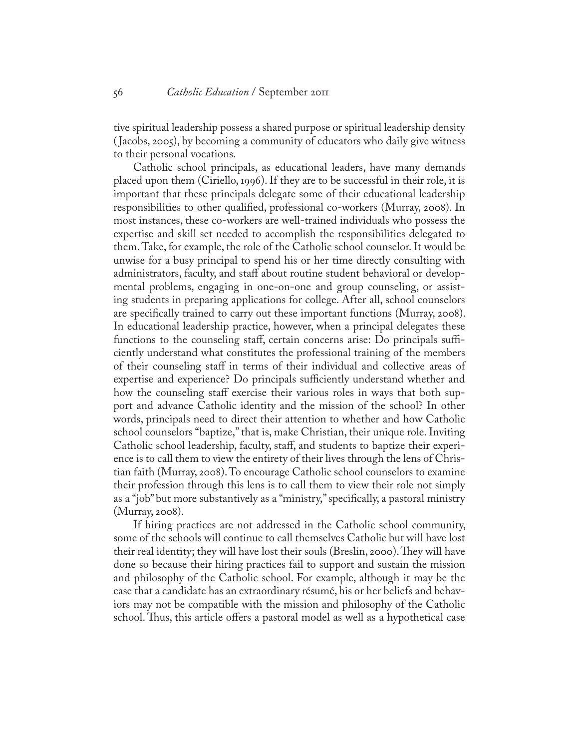tive spiritual leadership possess a shared purpose or spiritual leadership density ( Jacobs, 2005), by becoming a community of educators who daily give witness to their personal vocations.

Catholic school principals, as educational leaders, have many demands placed upon them (Ciriello, 1996). If they are to be successful in their role, it is important that these principals delegate some of their educational leadership responsibilities to other qualified, professional co-workers (Murray, 2008). In most instances, these co-workers are well-trained individuals who possess the expertise and skill set needed to accomplish the responsibilities delegated to them. Take, for example, the role of the Catholic school counselor. It would be unwise for a busy principal to spend his or her time directly consulting with administrators, faculty, and staff about routine student behavioral or developmental problems, engaging in one-on-one and group counseling, or assisting students in preparing applications for college. After all, school counselors are specifically trained to carry out these important functions (Murray, 2008). In educational leadership practice, however, when a principal delegates these functions to the counseling staff, certain concerns arise: Do principals sufficiently understand what constitutes the professional training of the members of their counseling staff in terms of their individual and collective areas of expertise and experience? Do principals sufficiently understand whether and how the counseling staff exercise their various roles in ways that both support and advance Catholic identity and the mission of the school? In other words, principals need to direct their attention to whether and how Catholic school counselors "baptize," that is, make Christian, their unique role. Inviting Catholic school leadership, faculty, staff, and students to baptize their experience is to call them to view the entirety of their lives through the lens of Christian faith (Murray, 2008). To encourage Catholic school counselors to examine their profession through this lens is to call them to view their role not simply as a "job" but more substantively as a "ministry," specifically, a pastoral ministry (Murray, 2008).

If hiring practices are not addressed in the Catholic school community, some of the schools will continue to call themselves Catholic but will have lost their real identity; they will have lost their souls (Breslin, 2000). They will have done so because their hiring practices fail to support and sustain the mission and philosophy of the Catholic school. For example, although it may be the case that a candidate has an extraordinary résumé, his or her beliefs and behaviors may not be compatible with the mission and philosophy of the Catholic school. Thus, this article offers a pastoral model as well as a hypothetical case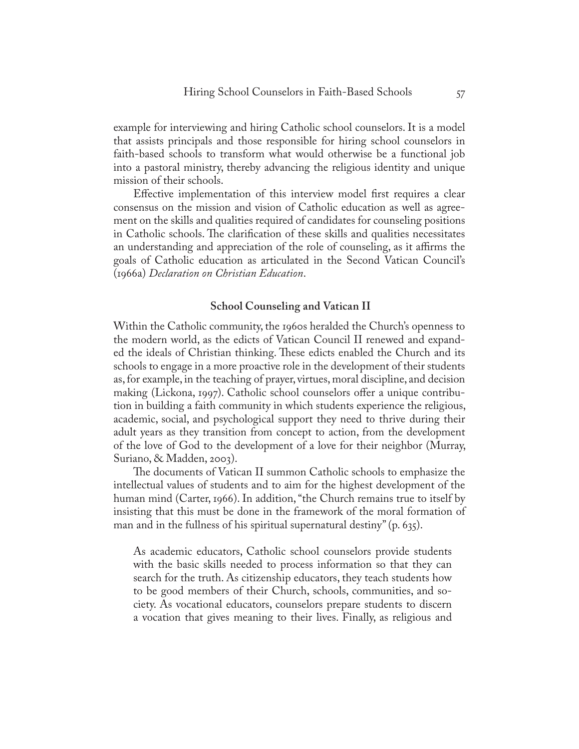example for interviewing and hiring Catholic school counselors. It is a model that assists principals and those responsible for hiring school counselors in faith-based schools to transform what would otherwise be a functional job into a pastoral ministry, thereby advancing the religious identity and unique mission of their schools.

Effective implementation of this interview model first requires a clear consensus on the mission and vision of Catholic education as well as agreement on the skills and qualities required of candidates for counseling positions in Catholic schools. The clarification of these skills and qualities necessitates an understanding and appreciation of the role of counseling, as it affirms the goals of Catholic education as articulated in the Second Vatican Council's (1966a) *Declaration on Christian Education*.

## **School Counseling and Vatican II**

Within the Catholic community, the 1960s heralded the Church's openness to the modern world, as the edicts of Vatican Council II renewed and expanded the ideals of Christian thinking. These edicts enabled the Church and its schools to engage in a more proactive role in the development of their students as, for example, in the teaching of prayer, virtues, moral discipline, and decision making (Lickona, 1997). Catholic school counselors offer a unique contribution in building a faith community in which students experience the religious, academic, social, and psychological support they need to thrive during their adult years as they transition from concept to action, from the development of the love of God to the development of a love for their neighbor (Murray, Suriano, & Madden, 2003).

The documents of Vatican II summon Catholic schools to emphasize the intellectual values of students and to aim for the highest development of the human mind (Carter, 1966). In addition, "the Church remains true to itself by insisting that this must be done in the framework of the moral formation of man and in the fullness of his spiritual supernatural destiny" (p. 635).

As academic educators, Catholic school counselors provide students with the basic skills needed to process information so that they can search for the truth. As citizenship educators, they teach students how to be good members of their Church, schools, communities, and society. As vocational educators, counselors prepare students to discern a vocation that gives meaning to their lives. Finally, as religious and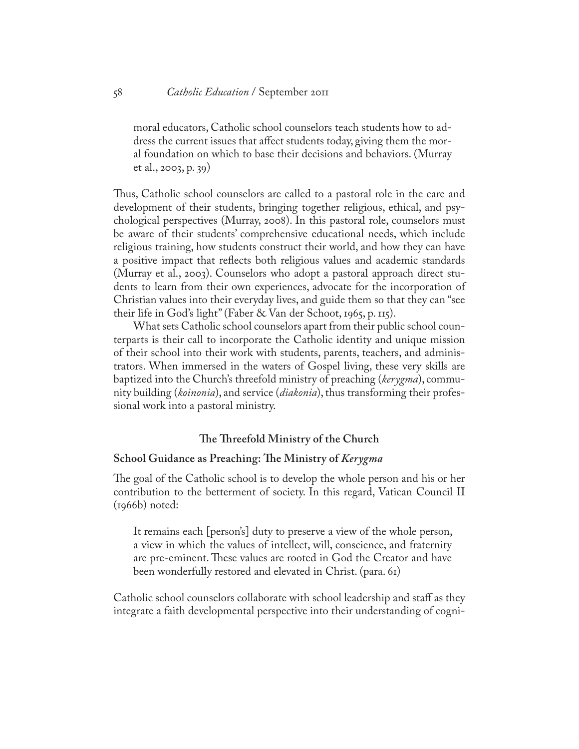moral educators, Catholic school counselors teach students how to address the current issues that affect students today, giving them the moral foundation on which to base their decisions and behaviors. (Murray et al., 2003, p. 39)

Thus, Catholic school counselors are called to a pastoral role in the care and development of their students, bringing together religious, ethical, and psychological perspectives (Murray, 2008). In this pastoral role, counselors must be aware of their students' comprehensive educational needs, which include religious training, how students construct their world, and how they can have a positive impact that reflects both religious values and academic standards (Murray et al., 2003). Counselors who adopt a pastoral approach direct students to learn from their own experiences, advocate for the incorporation of Christian values into their everyday lives, and guide them so that they can "see their life in God's light" (Faber & Van der Schoot, 1965, p. 115).

What sets Catholic school counselors apart from their public school counterparts is their call to incorporate the Catholic identity and unique mission of their school into their work with students, parents, teachers, and administrators. When immersed in the waters of Gospel living, these very skills are baptized into the Church's threefold ministry of preaching (*kerygma*), community building (*koinonia*), and service (*diakonia*), thus transforming their professional work into a pastoral ministry.

## **The Threefold Ministry of the Church**

#### **School Guidance as Preaching: The Ministry of** *Kerygma*

The goal of the Catholic school is to develop the whole person and his or her contribution to the betterment of society. In this regard, Vatican Council II  $(1966b)$  noted:

It remains each [person's] duty to preserve a view of the whole person, a view in which the values of intellect, will, conscience, and fraternity are pre-eminent. These values are rooted in God the Creator and have been wonderfully restored and elevated in Christ. (para. 61)

Catholic school counselors collaborate with school leadership and staff as they integrate a faith developmental perspective into their understanding of cogni-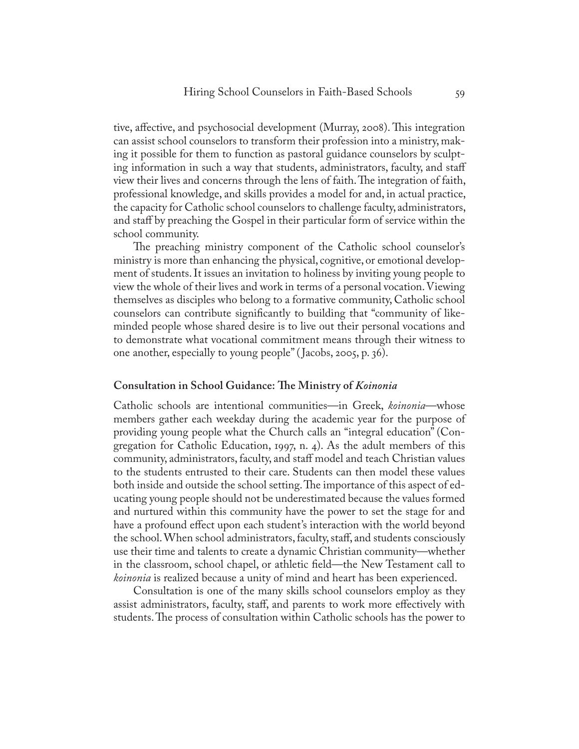tive, affective, and psychosocial development (Murray, 2008). This integration can assist school counselors to transform their profession into a ministry, making it possible for them to function as pastoral guidance counselors by sculpting information in such a way that students, administrators, faculty, and staff view their lives and concerns through the lens of faith. The integration of faith, professional knowledge, and skills provides a model for and, in actual practice, the capacity for Catholic school counselors to challenge faculty, administrators, and staff by preaching the Gospel in their particular form of service within the school community.

The preaching ministry component of the Catholic school counselor's ministry is more than enhancing the physical, cognitive, or emotional development of students. It issues an invitation to holiness by inviting young people to view the whole of their lives and work in terms of a personal vocation. Viewing themselves as disciples who belong to a formative community, Catholic school counselors can contribute significantly to building that "community of likeminded people whose shared desire is to live out their personal vocations and to demonstrate what vocational commitment means through their witness to one another, especially to young people" ( Jacobs, 2005, p. 36).

#### **Consultation in School Guidance: The Ministry of** *Koinonia*

Catholic schools are intentional communities—in Greek, *koinonia*—whose members gather each weekday during the academic year for the purpose of providing young people what the Church calls an "integral education" (Congregation for Catholic Education, 1997, n. 4). As the adult members of this community, administrators, faculty, and staff model and teach Christian values to the students entrusted to their care. Students can then model these values both inside and outside the school setting. The importance of this aspect of educating young people should not be underestimated because the values formed and nurtured within this community have the power to set the stage for and have a profound effect upon each student's interaction with the world beyond the school. When school administrators, faculty, staff, and students consciously use their time and talents to create a dynamic Christian community—whether in the classroom, school chapel, or athletic field—the New Testament call to *koinonia* is realized because a unity of mind and heart has been experienced.

Consultation is one of the many skills school counselors employ as they assist administrators, faculty, staff, and parents to work more effectively with students. The process of consultation within Catholic schools has the power to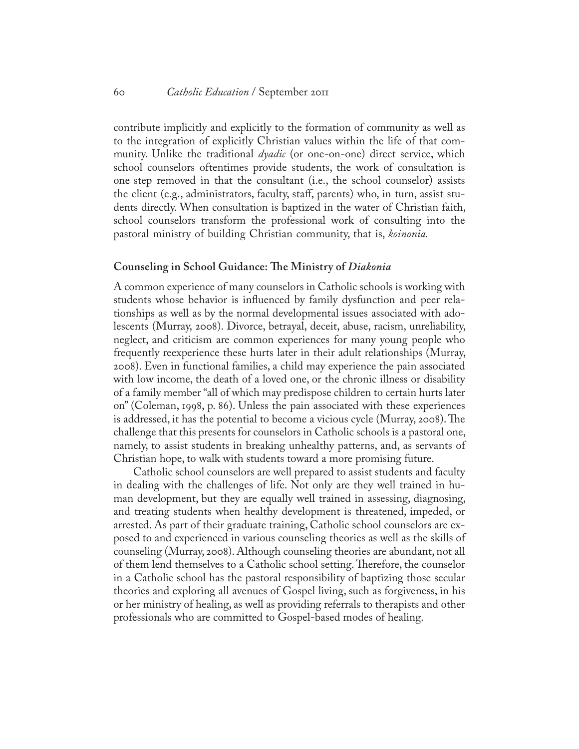contribute implicitly and explicitly to the formation of community as well as to the integration of explicitly Christian values within the life of that community. Unlike the traditional *dyadic* (or one-on-one) direct service, which school counselors oftentimes provide students, the work of consultation is one step removed in that the consultant (i.e., the school counselor) assists the client (e.g., administrators, faculty, staff, parents) who, in turn, assist students directly. When consultation is baptized in the water of Christian faith, school counselors transform the professional work of consulting into the pastoral ministry of building Christian community, that is, *koinonia.*

#### **Counseling in School Guidance: The Ministry of** *Diakonia*

A common experience of many counselors in Catholic schools is working with students whose behavior is influenced by family dysfunction and peer relationships as well as by the normal developmental issues associated with adolescents (Murray, 2008). Divorce, betrayal, deceit, abuse, racism, unreliability, neglect, and criticism are common experiences for many young people who frequently reexperience these hurts later in their adult relationships (Murray, 2008). Even in functional families, a child may experience the pain associated with low income, the death of a loved one, or the chronic illness or disability of a family member "all of which may predispose children to certain hurts later on" (Coleman, 1998, p. 86). Unless the pain associated with these experiences is addressed, it has the potential to become a vicious cycle (Murray, 2008). The challenge that this presents for counselors in Catholic schools is a pastoral one, namely, to assist students in breaking unhealthy patterns, and, as servants of Christian hope, to walk with students toward a more promising future.

Catholic school counselors are well prepared to assist students and faculty in dealing with the challenges of life. Not only are they well trained in human development, but they are equally well trained in assessing, diagnosing, and treating students when healthy development is threatened, impeded, or arrested. As part of their graduate training, Catholic school counselors are exposed to and experienced in various counseling theories as well as the skills of counseling (Murray, 2008). Although counseling theories are abundant, not all of them lend themselves to a Catholic school setting. Therefore, the counselor in a Catholic school has the pastoral responsibility of baptizing those secular theories and exploring all avenues of Gospel living, such as forgiveness, in his or her ministry of healing, as well as providing referrals to therapists and other professionals who are committed to Gospel-based modes of healing.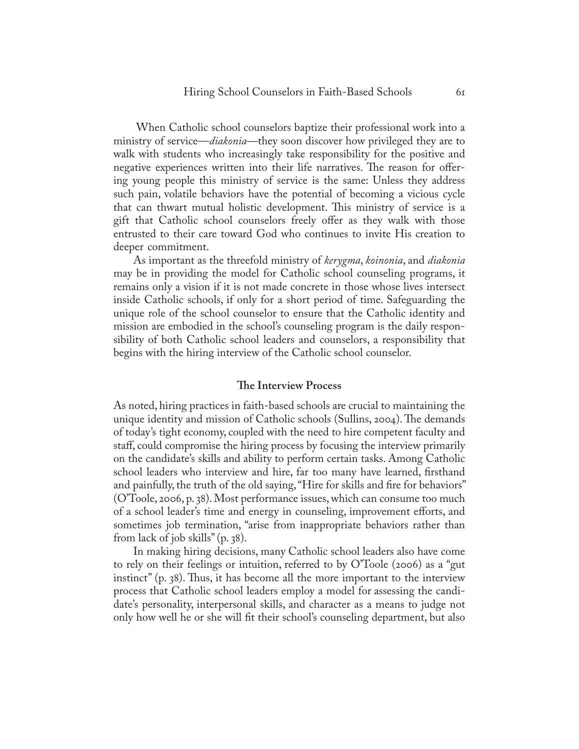When Catholic school counselors baptize their professional work into a ministry of service—*diakonia—*they soon discover how privileged they are to walk with students who increasingly take responsibility for the positive and negative experiences written into their life narratives. The reason for offering young people this ministry of service is the same: Unless they address such pain, volatile behaviors have the potential of becoming a vicious cycle that can thwart mutual holistic development. This ministry of service is a gift that Catholic school counselors freely offer as they walk with those entrusted to their care toward God who continues to invite His creation to deeper commitment.

As important as the threefold ministry of *kerygma*, *koinonia*, and *diakonia* may be in providing the model for Catholic school counseling programs, it remains only a vision if it is not made concrete in those whose lives intersect inside Catholic schools, if only for a short period of time. Safeguarding the unique role of the school counselor to ensure that the Catholic identity and mission are embodied in the school's counseling program is the daily responsibility of both Catholic school leaders and counselors, a responsibility that begins with the hiring interview of the Catholic school counselor.

## **The Interview Process**

As noted, hiring practices in faith-based schools are crucial to maintaining the unique identity and mission of Catholic schools (Sullins, 2004). The demands of today's tight economy, coupled with the need to hire competent faculty and staff, could compromise the hiring process by focusing the interview primarily on the candidate's skills and ability to perform certain tasks. Among Catholic school leaders who interview and hire, far too many have learned, firsthand and painfully, the truth of the old saying, "Hire for skills and fire for behaviors" (O'Toole, 2006, p. 38). Most performance issues, which can consume too much of a school leader's time and energy in counseling, improvement efforts, and sometimes job termination, "arise from inappropriate behaviors rather than from lack of job skills" (p. 38).

In making hiring decisions, many Catholic school leaders also have come to rely on their feelings or intuition, referred to by O'Toole (2006) as a "gut instinct" (p. 38). Thus, it has become all the more important to the interview process that Catholic school leaders employ a model for assessing the candidate's personality, interpersonal skills, and character as a means to judge not only how well he or she will fit their school's counseling department, but also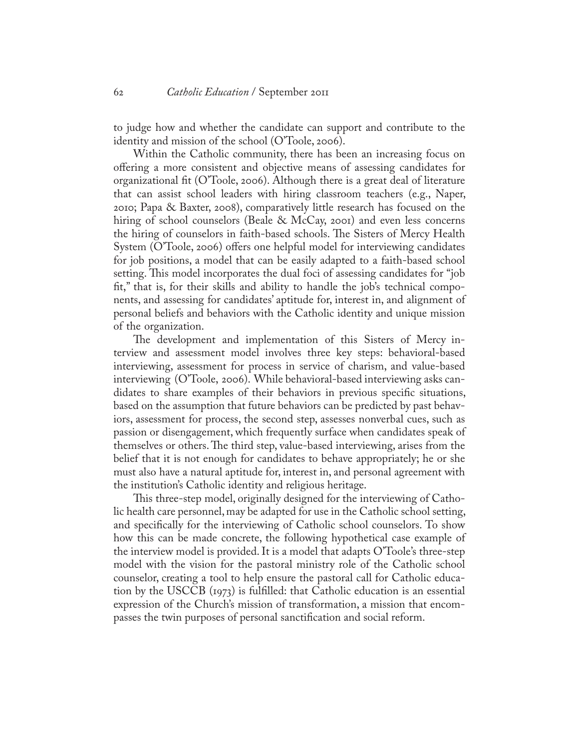to judge how and whether the candidate can support and contribute to the identity and mission of the school (O'Toole, 2006).

Within the Catholic community, there has been an increasing focus on offering a more consistent and objective means of assessing candidates for organizational fit (O'Toole, 2006). Although there is a great deal of literature that can assist school leaders with hiring classroom teachers (e.g., Naper, 2010; Papa & Baxter, 2008), comparatively little research has focused on the hiring of school counselors (Beale & McCay, 2001) and even less concerns the hiring of counselors in faith-based schools. The Sisters of Mercy Health System (O'Toole, 2006) offers one helpful model for interviewing candidates for job positions, a model that can be easily adapted to a faith-based school setting. This model incorporates the dual foci of assessing candidates for "job fit," that is, for their skills and ability to handle the job's technical components, and assessing for candidates' aptitude for, interest in, and alignment of personal beliefs and behaviors with the Catholic identity and unique mission of the organization.

The development and implementation of this Sisters of Mercy interview and assessment model involves three key steps: behavioral-based interviewing, assessment for process in service of charism, and value-based interviewing (O'Toole, 2006). While behavioral-based interviewing asks candidates to share examples of their behaviors in previous specific situations, based on the assumption that future behaviors can be predicted by past behaviors, assessment for process, the second step, assesses nonverbal cues, such as passion or disengagement, which frequently surface when candidates speak of themselves or others. The third step, value-based interviewing, arises from the belief that it is not enough for candidates to behave appropriately; he or she must also have a natural aptitude for, interest in, and personal agreement with the institution's Catholic identity and religious heritage.

This three-step model, originally designed for the interviewing of Catholic health care personnel, may be adapted for use in the Catholic school setting, and specifically for the interviewing of Catholic school counselors. To show how this can be made concrete, the following hypothetical case example of the interview model is provided. It is a model that adapts O'Toole's three-step model with the vision for the pastoral ministry role of the Catholic school counselor, creating a tool to help ensure the pastoral call for Catholic education by the USCCB (1973) is fulfilled: that Catholic education is an essential expression of the Church's mission of transformation, a mission that encompasses the twin purposes of personal sanctification and social reform.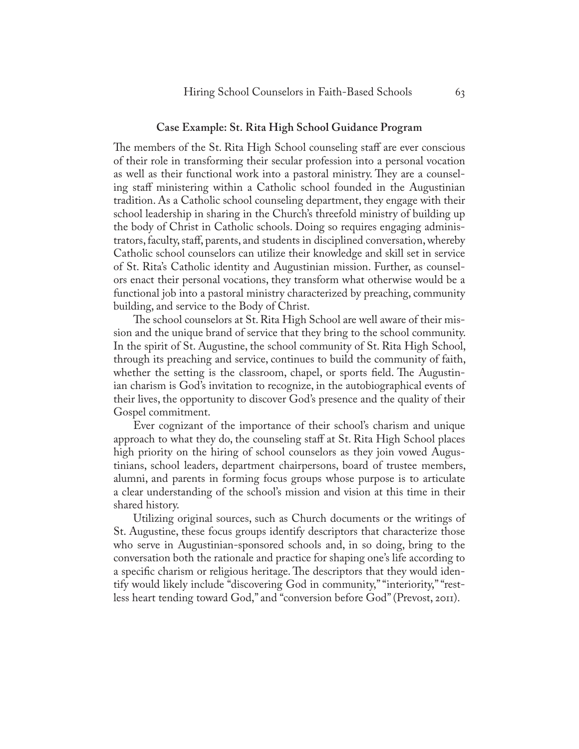#### **Case Example: St. Rita High School Guidance Program**

The members of the St. Rita High School counseling staff are ever conscious of their role in transforming their secular profession into a personal vocation as well as their functional work into a pastoral ministry. They are a counseling staff ministering within a Catholic school founded in the Augustinian tradition. As a Catholic school counseling department, they engage with their school leadership in sharing in the Church's threefold ministry of building up the body of Christ in Catholic schools. Doing so requires engaging administrators, faculty, staff, parents, and students in disciplined conversation, whereby Catholic school counselors can utilize their knowledge and skill set in service of St. Rita's Catholic identity and Augustinian mission. Further, as counselors enact their personal vocations, they transform what otherwise would be a functional job into a pastoral ministry characterized by preaching, community building, and service to the Body of Christ.

The school counselors at St. Rita High School are well aware of their mission and the unique brand of service that they bring to the school community. In the spirit of St. Augustine, the school community of St. Rita High School, through its preaching and service, continues to build the community of faith, whether the setting is the classroom, chapel, or sports field. The Augustinian charism is God's invitation to recognize, in the autobiographical events of their lives, the opportunity to discover God's presence and the quality of their Gospel commitment.

Ever cognizant of the importance of their school's charism and unique approach to what they do, the counseling staff at St. Rita High School places high priority on the hiring of school counselors as they join vowed Augustinians, school leaders, department chairpersons, board of trustee members, alumni, and parents in forming focus groups whose purpose is to articulate a clear understanding of the school's mission and vision at this time in their shared history.

Utilizing original sources, such as Church documents or the writings of St. Augustine, these focus groups identify descriptors that characterize those who serve in Augustinian-sponsored schools and, in so doing, bring to the conversation both the rationale and practice for shaping one's life according to a specific charism or religious heritage. The descriptors that they would identify would likely include "discovering God in community," "interiority," "restless heart tending toward God," and "conversion before God" (Prevost, 2011).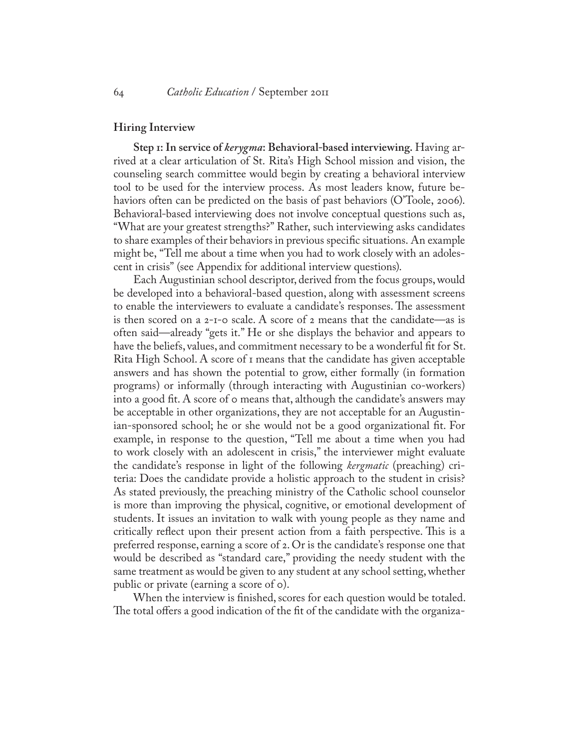#### **Hiring Interview**

**Step 1: In service of** *kerygma***: Behavioral-based interviewing.** Having arrived at a clear articulation of St. Rita's High School mission and vision, the counseling search committee would begin by creating a behavioral interview tool to be used for the interview process. As most leaders know, future behaviors often can be predicted on the basis of past behaviors (O'Toole, 2006). Behavioral-based interviewing does not involve conceptual questions such as, "What are your greatest strengths?" Rather, such interviewing asks candidates to share examples of their behaviors in previous specific situations. An example might be, "Tell me about a time when you had to work closely with an adolescent in crisis" (see Appendix for additional interview questions).

Each Augustinian school descriptor, derived from the focus groups, would be developed into a behavioral-based question, along with assessment screens to enable the interviewers to evaluate a candidate's responses. The assessment is then scored on a 2-1-0 scale. A score of 2 means that the candidate—as is often said—already "gets it." He or she displays the behavior and appears to have the beliefs, values, and commitment necessary to be a wonderful fit for St. Rita High School. A score of 1 means that the candidate has given acceptable answers and has shown the potential to grow, either formally (in formation programs) or informally (through interacting with Augustinian co-workers) into a good fit. A score of 0 means that, although the candidate's answers may be acceptable in other organizations, they are not acceptable for an Augustinian-sponsored school; he or she would not be a good organizational fit. For example, in response to the question, "Tell me about a time when you had to work closely with an adolescent in crisis," the interviewer might evaluate the candidate's response in light of the following *kergmatic* (preaching) criteria: Does the candidate provide a holistic approach to the student in crisis? As stated previously, the preaching ministry of the Catholic school counselor is more than improving the physical, cognitive, or emotional development of students. It issues an invitation to walk with young people as they name and critically reflect upon their present action from a faith perspective. This is a preferred response, earning a score of 2. Or is the candidate's response one that would be described as "standard care," providing the needy student with the same treatment as would be given to any student at any school setting, whether public or private (earning a score of 0).

When the interview is finished, scores for each question would be totaled. The total offers a good indication of the fit of the candidate with the organiza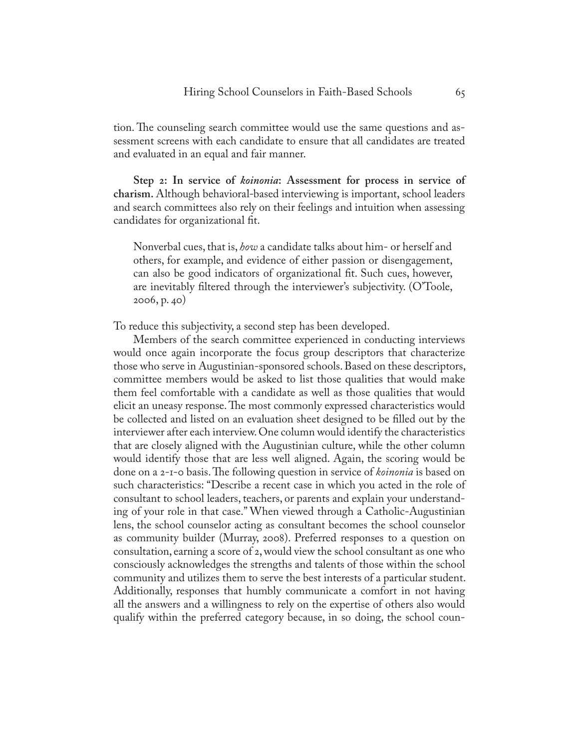tion. The counseling search committee would use the same questions and assessment screens with each candidate to ensure that all candidates are treated and evaluated in an equal and fair manner.

**Step 2: In service of** *koinonia***: Assessment for process in service of charism.** Although behavioral-based interviewing is important, school leaders and search committees also rely on their feelings and intuition when assessing candidates for organizational fit.

Nonverbal cues, that is, *how* a candidate talks about him- or herself and others, for example, and evidence of either passion or disengagement, can also be good indicators of organizational fit. Such cues, however, are inevitably filtered through the interviewer's subjectivity. (O'Toole, 2006, p. 40)

To reduce this subjectivity, a second step has been developed.

Members of the search committee experienced in conducting interviews would once again incorporate the focus group descriptors that characterize those who serve in Augustinian-sponsored schools. Based on these descriptors, committee members would be asked to list those qualities that would make them feel comfortable with a candidate as well as those qualities that would elicit an uneasy response. The most commonly expressed characteristics would be collected and listed on an evaluation sheet designed to be filled out by the interviewer after each interview. One column would identify the characteristics that are closely aligned with the Augustinian culture, while the other column would identify those that are less well aligned. Again, the scoring would be done on a 2-1-0 basis. The following question in service of *koinonia* is based on such characteristics: "Describe a recent case in which you acted in the role of consultant to school leaders, teachers, or parents and explain your understanding of your role in that case." When viewed through a Catholic-Augustinian lens, the school counselor acting as consultant becomes the school counselor as community builder (Murray, 2008). Preferred responses to a question on consultation, earning a score of 2, would view the school consultant as one who consciously acknowledges the strengths and talents of those within the school community and utilizes them to serve the best interests of a particular student. Additionally, responses that humbly communicate a comfort in not having all the answers and a willingness to rely on the expertise of others also would qualify within the preferred category because, in so doing, the school coun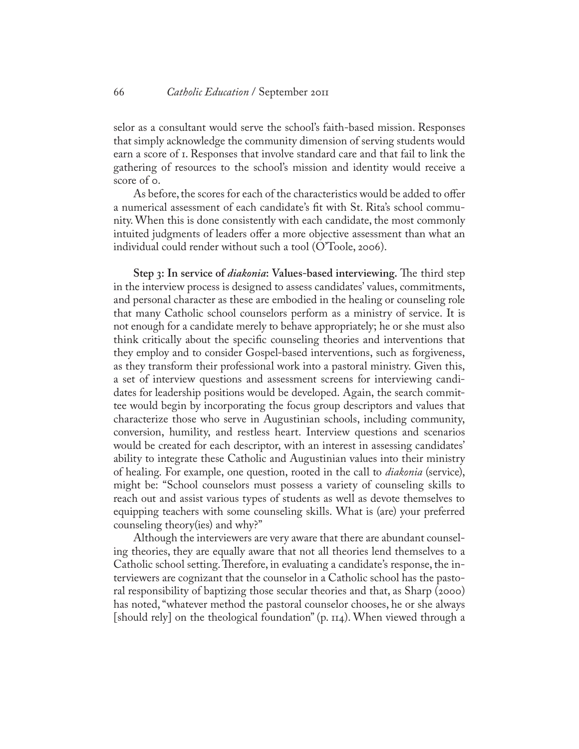selor as a consultant would serve the school's faith-based mission. Responses that simply acknowledge the community dimension of serving students would earn a score of 1. Responses that involve standard care and that fail to link the gathering of resources to the school's mission and identity would receive a score of 0.

As before, the scores for each of the characteristics would be added to offer a numerical assessment of each candidate's fit with St. Rita's school community. When this is done consistently with each candidate, the most commonly intuited judgments of leaders offer a more objective assessment than what an individual could render without such a tool (O'Toole, 2006).

**Step 3: In service of** *diakonia***: Values-based interviewing.** The third step in the interview process is designed to assess candidates' values, commitments, and personal character as these are embodied in the healing or counseling role that many Catholic school counselors perform as a ministry of service. It is not enough for a candidate merely to behave appropriately; he or she must also think critically about the specific counseling theories and interventions that they employ and to consider Gospel-based interventions, such as forgiveness, as they transform their professional work into a pastoral ministry. Given this, a set of interview questions and assessment screens for interviewing candidates for leadership positions would be developed. Again, the search committee would begin by incorporating the focus group descriptors and values that characterize those who serve in Augustinian schools, including community, conversion, humility, and restless heart. Interview questions and scenarios would be created for each descriptor, with an interest in assessing candidates' ability to integrate these Catholic and Augustinian values into their ministry of healing. For example, one question, rooted in the call to *diakonia* (service), might be: "School counselors must possess a variety of counseling skills to reach out and assist various types of students as well as devote themselves to equipping teachers with some counseling skills. What is (are) your preferred counseling theory(ies) and why?"

Although the interviewers are very aware that there are abundant counseling theories, they are equally aware that not all theories lend themselves to a Catholic school setting. Therefore, in evaluating a candidate's response, the interviewers are cognizant that the counselor in a Catholic school has the pastoral responsibility of baptizing those secular theories and that, as Sharp (2000) has noted, "whatever method the pastoral counselor chooses, he or she always [should rely] on the theological foundation" (p. 114). When viewed through a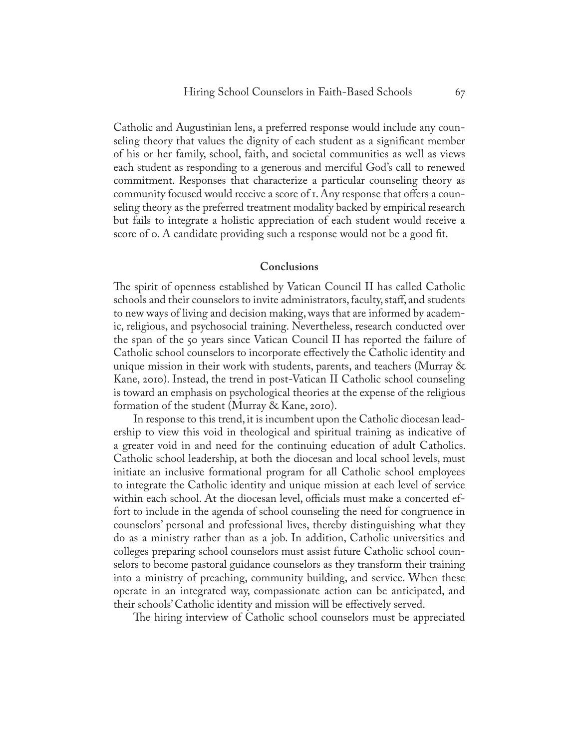Catholic and Augustinian lens, a preferred response would include any counseling theory that values the dignity of each student as a significant member of his or her family, school, faith, and societal communities as well as views each student as responding to a generous and merciful God's call to renewed commitment. Responses that characterize a particular counseling theory as community focused would receive a score of 1. Any response that offers a counseling theory as the preferred treatment modality backed by empirical research but fails to integrate a holistic appreciation of each student would receive a score of o. A candidate providing such a response would not be a good fit.

#### **Conclusions**

The spirit of openness established by Vatican Council II has called Catholic schools and their counselors to invite administrators, faculty, staff, and students to new ways of living and decision making, ways that are informed by academic, religious, and psychosocial training. Nevertheless, research conducted over the span of the 50 years since Vatican Council II has reported the failure of Catholic school counselors to incorporate effectively the Catholic identity and unique mission in their work with students, parents, and teachers (Murray & Kane, 2010). Instead, the trend in post-Vatican II Catholic school counseling is toward an emphasis on psychological theories at the expense of the religious formation of the student (Murray & Kane, 2010).

In response to this trend, it is incumbent upon the Catholic diocesan leadership to view this void in theological and spiritual training as indicative of a greater void in and need for the continuing education of adult Catholics. Catholic school leadership, at both the diocesan and local school levels, must initiate an inclusive formational program for all Catholic school employees to integrate the Catholic identity and unique mission at each level of service within each school. At the diocesan level, officials must make a concerted effort to include in the agenda of school counseling the need for congruence in counselors' personal and professional lives, thereby distinguishing what they do as a ministry rather than as a job. In addition, Catholic universities and colleges preparing school counselors must assist future Catholic school counselors to become pastoral guidance counselors as they transform their training into a ministry of preaching, community building, and service. When these operate in an integrated way, compassionate action can be anticipated, and their schools' Catholic identity and mission will be effectively served.

The hiring interview of Catholic school counselors must be appreciated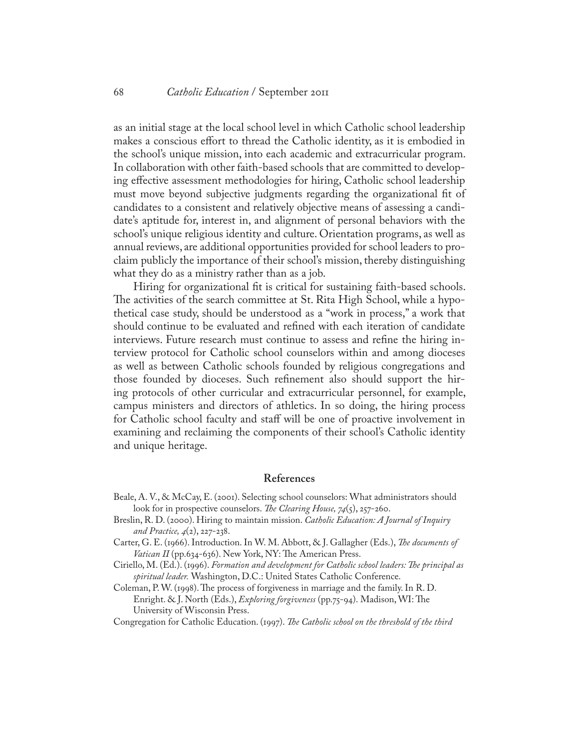as an initial stage at the local school level in which Catholic school leadership makes a conscious effort to thread the Catholic identity, as it is embodied in the school's unique mission, into each academic and extracurricular program. In collaboration with other faith-based schools that are committed to developing effective assessment methodologies for hiring, Catholic school leadership must move beyond subjective judgments regarding the organizational fit of candidates to a consistent and relatively objective means of assessing a candidate's aptitude for, interest in, and alignment of personal behaviors with the school's unique religious identity and culture. Orientation programs, as well as annual reviews, are additional opportunities provided for school leaders to proclaim publicly the importance of their school's mission, thereby distinguishing what they do as a ministry rather than as a job.

Hiring for organizational fit is critical for sustaining faith-based schools. The activities of the search committee at St. Rita High School, while a hypothetical case study, should be understood as a "work in process," a work that should continue to be evaluated and refined with each iteration of candidate interviews. Future research must continue to assess and refine the hiring interview protocol for Catholic school counselors within and among dioceses as well as between Catholic schools founded by religious congregations and those founded by dioceses. Such refinement also should support the hiring protocols of other curricular and extracurricular personnel, for example, campus ministers and directors of athletics. In so doing, the hiring process for Catholic school faculty and staff will be one of proactive involvement in examining and reclaiming the components of their school's Catholic identity and unique heritage.

#### **References**

- Beale, A. V., & McCay, E. (2001). Selecting school counselors: What administrators should look for in prospective counselors. *The Clearing House, 74*(5), 257-260.
- Breslin, R. D. (2000). Hiring to maintain mission. *Catholic Education: A Journal of Inquiry and Practice, 4*(2), 227-238.
- Carter, G. E. (1966). Introduction. In W. M. Abbott, & J. Gallagher (Eds.), *The documents of Vatican II* (pp.634-636). New York, NY: The American Press.
- Ciriello, M. (Ed.). (1996). *Formation and development for Catholic school leaders: The principal as spiritual leader.* Washington, D.C.: United States Catholic Conference.
- Coleman, P. W. (1998). The process of forgiveness in marriage and the family. In R. D. Enright. & J. North (Eds.), *Exploring forgiveness* (pp.75-94). Madison, WI: The University of Wisconsin Press.
- Congregation for Catholic Education. (1997). *The Catholic school on the threshold of the third*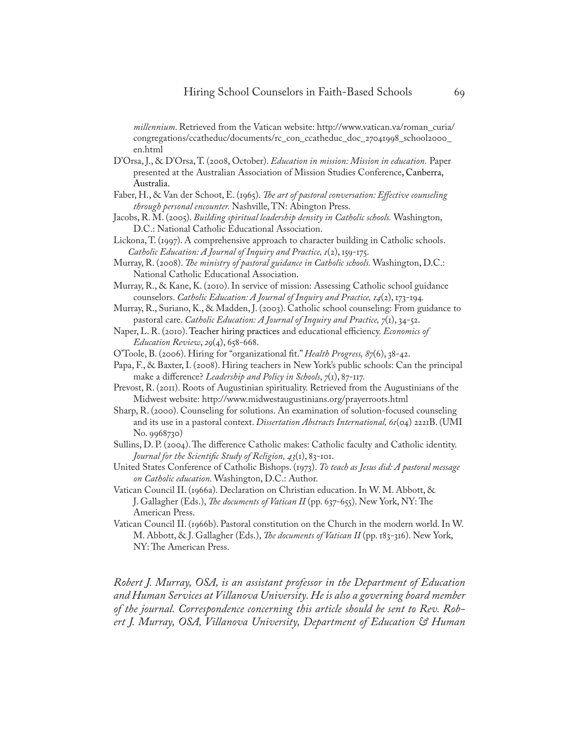*millennium*. Retrieved from the Vatican website: http://www.vatican.va/roman\_curia/ congregations/ccatheduc/documents/rc\_con\_ccatheduc\_doc\_27041998\_school2000\_ en.html

- D'Orsa, J., & D'Orsa, T. (2008, October). *Education in mission: Mission in education.* Paper presented at the Australian Association of Mission Studies Conference, Canberra, Australia.
- Faber, H., & Van der Schoot, E. (1965). *The art of pastoral conversation: Effective counseling through personal encounter.* Nashville, TN: Abington Press.
- Jacobs, R. M. (2005). *Building spiritual leadership density in Catholic schools.* Washington, D.C.: National Catholic Educational Association.
- Lickona, T. (1997). A comprehensive approach to character building in Catholic schools. *Catholic Education: A Journal of Inquiry and Practice, 1*(2), 159-175.
- Murray, R. (2008). *The ministry of pastoral guidance in Catholic schools.* Washington, D.C.: National Catholic Educational Association.
- Murray, R., & Kane, K. (2010). In service of mission: Assessing Catholic school guidance counselors. *Catholic Education: A Journal of Inquiry and Practice, 14*(2), 173-194*.*
- Murray, R., Suriano, K., & Madden, J. (2003). Catholic school counseling: From guidance to pastoral care. *Catholic Education: A Journal of Inquiry and Practice, 7*(1), 34-52.
- Naper, L. R. (2010). Teacher hiring practices and educational efficiency. *Economics of Education Review*, *29*(4), 658-668.
- O'Toole, B. (2006). Hiring for "organizational fit." *Health Progress, 87*(6), 38-42.
- Papa, F., & Baxter, I. (2008). Hiring teachers in New York's public schools: Can the principal make a difference? *Leadership and Policy in Schools*, *7*(1), 87-117.
- Prevost, R. (2011). Roots of Augustinian spirituality. Retrieved from the Augustinians of the Midwest website: http://www.midwestaugustinians.org/prayerroots.html
- Sharp, R. (2000). Counseling for solutions. An examination of solution-focused counseling and its use in a pastoral context. *Dissertation Abstracts International, 61*(04) 2221B. (UMI No. 9968730)
- Sullins, D. P. (2004). The difference Catholic makes: Catholic faculty and Catholic identity. *Journal for the Scientific Study of Religion, 43*(1), 83-101.
- United States Conference of Catholic Bishops. (1973). *To teach as Jesus did: A pastoral message on Catholic education.* Washington, D.C.: Author.
- Vatican Council II. (1966a). Declaration on Christian education. In W. M. Abbott, & J. Gallagher (Eds.), *The documents of Vatican II* (pp. 637-655). New York, NY: The American Press.
- Vatican Council II. (1966b). Pastoral constitution on the Church in the modern world. In W. M. Abbott, & J. Gallagher (Eds.), *The documents of Vatican II* (pp. 183-316). New York, NY: The American Press.

*Robert J. Murray, OSA, is an assistant professor in the Department of Education and Human Services at Villanova University. He is also a governing board member of the journal. Correspondence concerning this article should be sent to Rev. Robert J. Murray, OSA, Villanova University, Department of Education & Human*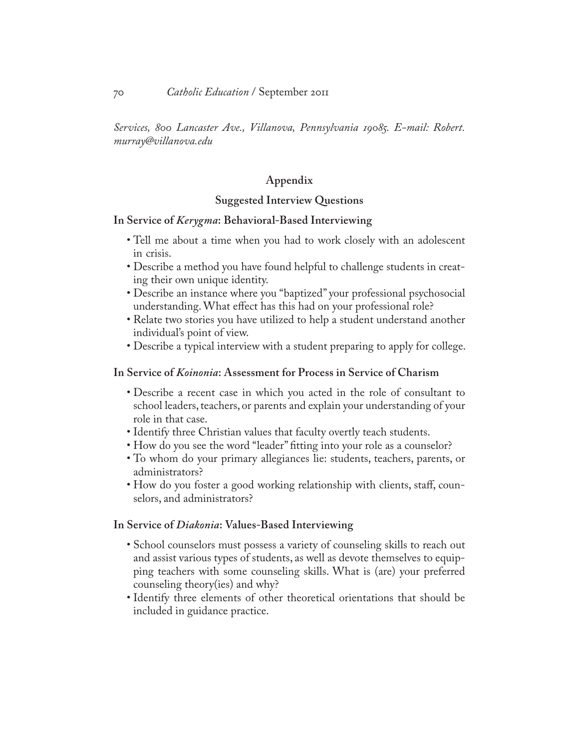*Services, 800 Lancaster Ave., Villanova, Pennsylvania 19085. E-mail: Robert. murray@villanova.edu*

## **Appendix**

#### **Suggested Interview Questions**

#### **In Service of** *Kerygma***: Behavioral-Based Interviewing**

- Tell me about a time when you had to work closely with an adolescent in crisis.
- Describe a method you have found helpful to challenge students in creating their own unique identity.
- Describe an instance where you "baptized" your professional psychosocial understanding. What effect has this had on your professional role?
- Relate two stories you have utilized to help a student understand another individual's point of view.
- Describe a typical interview with a student preparing to apply for college.

#### **In Service of** *Koinonia***: Assessment for Process in Service of Charism**

- Describe a recent case in which you acted in the role of consultant to school leaders, teachers, or parents and explain your understanding of your role in that case.
- Identify three Christian values that faculty overtly teach students.
- How do you see the word "leader" fitting into your role as a counselor?
- To whom do your primary allegiances lie: students, teachers, parents, or administrators?
- How do you foster a good working relationship with clients, staff, counselors, and administrators?

#### **In Service of** *Diakonia***: Values-Based Interviewing**

- School counselors must possess a variety of counseling skills to reach out and assist various types of students, as well as devote themselves to equipping teachers with some counseling skills. What is (are) your preferred counseling theory(ies) and why?
- Identify three elements of other theoretical orientations that should be included in guidance practice.